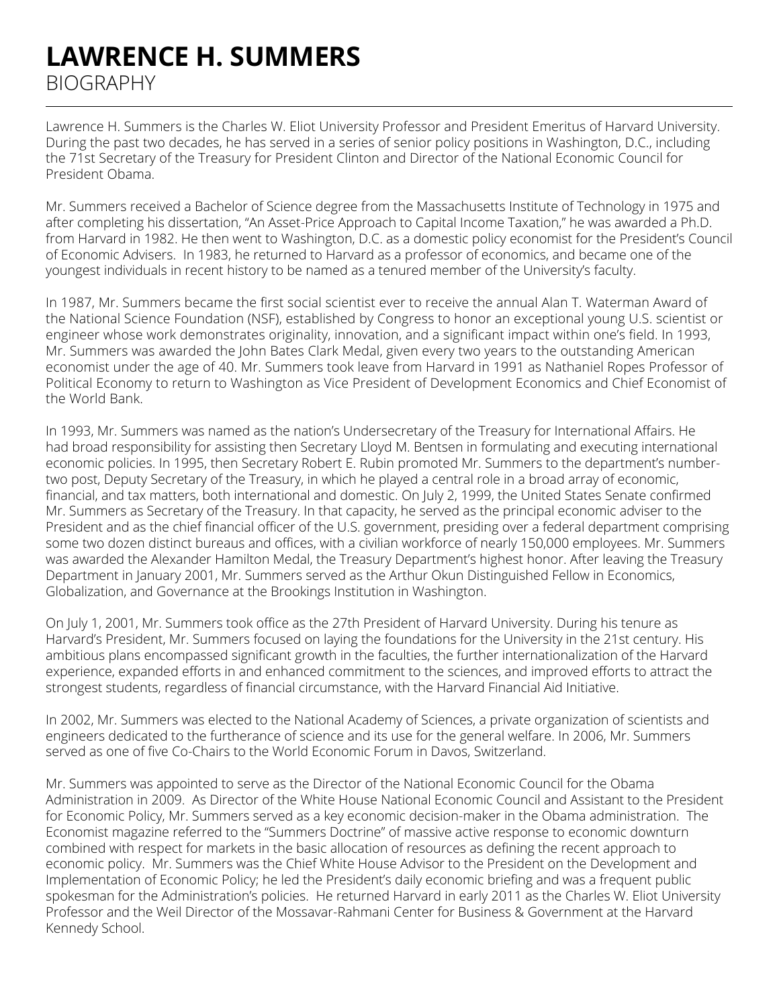## **LAWRENCE H. SUMMERS**  BIOGRAPHY

Lawrence H. Summers is the Charles W. Eliot University Professor and President Emeritus of Harvard University. During the past two decades, he has served in a series of senior policy positions in Washington, D.C., including the 71st Secretary of the Treasury for President Clinton and Director of the National Economic Council for President Obama.

Mr. Summers received a Bachelor of Science degree from the Massachusetts Institute of Technology in 1975 and after completing his dissertation, "An Asset-Price Approach to Capital Income Taxation," he was awarded a Ph.D. from Harvard in 1982. He then went to Washington, D.C. as a domestic policy economist for the President's Council of Economic Advisers. In 1983, he returned to Harvard as a professor of economics, and became one of the youngest individuals in recent history to be named as a tenured member of the University's faculty.

In 1987, Mr. Summers became the first social scientist ever to receive the annual Alan T. Waterman Award of the National Science Foundation (NSF), established by Congress to honor an exceptional young U.S. scientist or engineer whose work demonstrates originality, innovation, and a significant impact within one's field. In 1993, Mr. Summers was awarded the John Bates Clark Medal, given every two years to the outstanding American economist under the age of 40. Mr. Summers took leave from Harvard in 1991 as Nathaniel Ropes Professor of Political Economy to return to Washington as Vice President of Development Economics and Chief Economist of the World Bank.

In 1993, Mr. Summers was named as the nation's Undersecretary of the Treasury for International Affairs. He had broad responsibility for assisting then Secretary Lloyd M. Bentsen in formulating and executing international economic policies. In 1995, then Secretary Robert E. Rubin promoted Mr. Summers to the department's numbertwo post, Deputy Secretary of the Treasury, in which he played a central role in a broad array of economic, financial, and tax matters, both international and domestic. On July 2, 1999, the United States Senate confirmed Mr. Summers as Secretary of the Treasury. In that capacity, he served as the principal economic adviser to the President and as the chief financial officer of the U.S. government, presiding over a federal department comprising some two dozen distinct bureaus and offices, with a civilian workforce of nearly 150,000 employees. Mr. Summers was awarded the Alexander Hamilton Medal, the Treasury Department's highest honor. After leaving the Treasury Department in January 2001, Mr. Summers served as the Arthur Okun Distinguished Fellow in Economics, Globalization, and Governance at the Brookings Institution in Washington.

On July 1, 2001, Mr. Summers took office as the 27th President of Harvard University. During his tenure as Harvard's President, Mr. Summers focused on laying the foundations for the University in the 21st century. His ambitious plans encompassed significant growth in the faculties, the further internationalization of the Harvard experience, expanded efforts in and enhanced commitment to the sciences, and improved efforts to attract the strongest students, regardless of financial circumstance, with the Harvard Financial Aid Initiative.

In 2002, Mr. Summers was elected to the National Academy of Sciences, a private organization of scientists and engineers dedicated to the furtherance of science and its use for the general welfare. In 2006, Mr. Summers served as one of five Co-Chairs to the World Economic Forum in Davos, Switzerland.

Mr. Summers was appointed to serve as the Director of the National Economic Council for the Obama Administration in 2009. As Director of the White House National Economic Council and Assistant to the President for Economic Policy, Mr. Summers served as a key economic decision-maker in the Obama administration. The Economist magazine referred to the "Summers Doctrine" of massive active response to economic downturn combined with respect for markets in the basic allocation of resources as defining the recent approach to economic policy. Mr. Summers was the Chief White House Advisor to the President on the Development and Implementation of Economic Policy; he led the President's daily economic briefing and was a frequent public spokesman for the Administration's policies. He returned Harvard in early 2011 as the Charles W. Eliot University Professor and the Weil Director of the Mossavar-Rahmani Center for Business & Government at the Harvard Kennedy School.